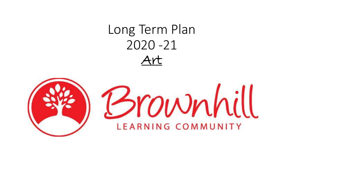## Long Term Plan 2020 -21 Art

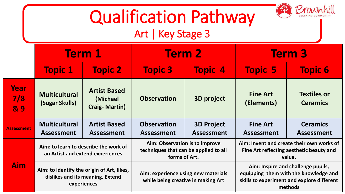## Qualification Pathway

Brownhill

## Art | Key Stage 3

|                    | <b>Term 1</b>                                                                                 |                                                          | <b>Term 2</b>                                                                            |                                        | <b>Term 3</b>                                                                                                                        |                                       |
|--------------------|-----------------------------------------------------------------------------------------------|----------------------------------------------------------|------------------------------------------------------------------------------------------|----------------------------------------|--------------------------------------------------------------------------------------------------------------------------------------|---------------------------------------|
|                    | <b>Topic 1</b>                                                                                | <b>Topic 2</b>                                           | <b>Topic 3</b>                                                                           | <b>Topic 4</b>                         | <b>Topic 5</b>                                                                                                                       | <b>Topic 6</b>                        |
| Year<br>7/8<br>& 9 | <b>Multicultural</b><br>(Sugar Skulls)                                                        | <b>Artist Based</b><br>(Michael)<br><b>Craig-Martin)</b> | <b>Observation</b>                                                                       | <b>3D project</b>                      | <b>Fine Art</b><br>(Elements)                                                                                                        | <b>Textiles or</b><br><b>Ceramics</b> |
| <b>Assessment</b>  | <b>Multicultural</b><br><b>Assessment</b>                                                     | <b>Artist Based</b><br><b>Assessment</b>                 | <b>Observation</b><br><b>Assessment</b>                                                  | <b>3D Project</b><br><b>Assessment</b> | <b>Fine Art</b><br><b>Assessment</b>                                                                                                 | <b>Ceramics</b><br><b>Assessment</b>  |
| <b>Aim</b>         | Aim: to learn to describe the work of<br>an Artist and extend experiences                     |                                                          | Aim: Observation is to improve<br>techniques that can be applied to all<br>forms of Art. |                                        | Aim: Invent and create their own works of<br>Fine Art reflecting aesthetic beauty and<br>value.                                      |                                       |
|                    | Aim: to identify the origin of Art, likes,<br>dislikes and its meaning. Extend<br>experiences |                                                          | Aim: experience using new materials<br>while being creative in making Art                |                                        | Aim: Inspire and challenge pupils,<br>equipping them with the knowledge and<br>skills to experiment and explore different<br>methods |                                       |